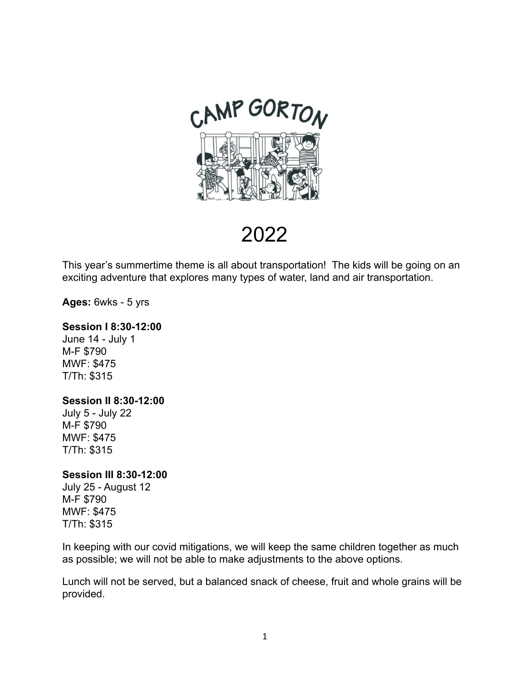

2022

This year's summertime theme is all about transportation! The kids will be going on an exciting adventure that explores many types of water, land and air transportation.

**Ages:** 6wks - 5 yrs

#### **Session I 8:30-12:00**

June 14 - July 1 M-F \$790 MWF: \$475 T/Th: \$315

#### **Session II 8:30-12:00**

July 5 - July 22 M-F \$790 MWF: \$475 T/Th: \$315

#### **Session III 8:30-12:00**

July 25 - August 12 M-F \$790 MWF: \$475 T/Th: \$315

In keeping with our covid mitigations, we will keep the same children together as much as possible; we will not be able to make adjustments to the above options.

Lunch will not be served, but a balanced snack of cheese, fruit and whole grains will be provided.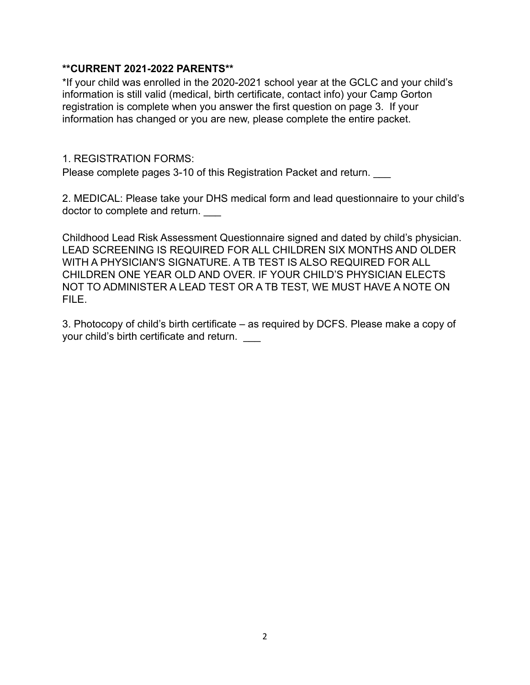## **\*\*CURRENT 2021-2022 PARENTS\*\***

\*If your child was enrolled in the 2020-2021 school year at the GCLC and your child's information is still valid (medical, birth certificate, contact info) your Camp Gorton registration is complete when you answer the first question on page 3. If your information has changed or you are new, please complete the entire packet.

## 1. REGISTRATION FORMS:

Please complete pages 3-10 of this Registration Packet and return.

2. MEDICAL: Please take your DHS medical form and lead questionnaire to your child's doctor to complete and return.

Childhood Lead Risk Assessment Questionnaire signed and dated by child's physician. LEAD SCREENING IS REQUIRED FOR ALL CHILDREN SIX MONTHS AND OLDER WITH A PHYSICIAN'S SIGNATURE. A TB TEST IS ALSO REQUIRED FOR ALL CHILDREN ONE YEAR OLD AND OVER. IF YOUR CHILD'S PHYSICIAN ELECTS NOT TO ADMINISTER A LEAD TEST OR A TB TEST, WE MUST HAVE A NOTE ON FILE.

3. Photocopy of child's birth certificate – as required by DCFS. Please make a copy of your child's birth certificate and return.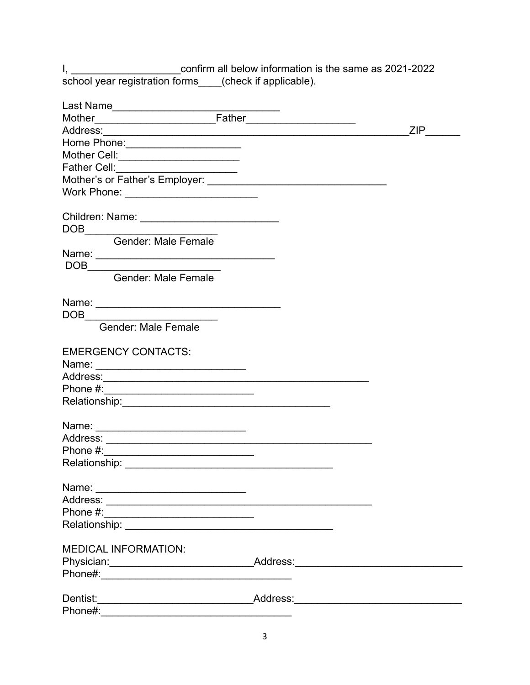I, \_\_\_\_\_\_\_\_\_\_\_\_\_\_\_\_\_\_\_\_\_\_\_confirm all below information is the same as 2021-2022<br>school year registration forms\_\_\_\_(check if applicable).

| Last Name____________________                                      |           |
|--------------------------------------------------------------------|-----------|
|                                                                    |           |
|                                                                    | $ZIP$ ___ |
|                                                                    |           |
| Mother Cell:_______________________                                |           |
| Father Cell:________________________                               |           |
|                                                                    |           |
|                                                                    |           |
|                                                                    |           |
|                                                                    |           |
|                                                                    |           |
| Gender: Male Female                                                |           |
|                                                                    |           |
| $\begin{array}{c}\n\text{DOB}\n\end{array}$                        |           |
| Gender: Male Female                                                |           |
|                                                                    |           |
|                                                                    |           |
|                                                                    |           |
| $\begin{array}{c}\n\text{DOB}\n\end{array}$<br>Gender: Male Female |           |
|                                                                    |           |
| <b>EMERGENCY CONTACTS:</b>                                         |           |
|                                                                    |           |
|                                                                    |           |
|                                                                    |           |
|                                                                    |           |
|                                                                    |           |
|                                                                    |           |
|                                                                    |           |
|                                                                    |           |
|                                                                    |           |
|                                                                    |           |
| Name:                                                              |           |
|                                                                    |           |
|                                                                    |           |
|                                                                    |           |
|                                                                    |           |
| <b>MEDICAL INFORMATION:</b>                                        |           |
|                                                                    |           |
|                                                                    |           |
|                                                                    |           |
|                                                                    |           |
|                                                                    |           |
| Phone#:                                                            |           |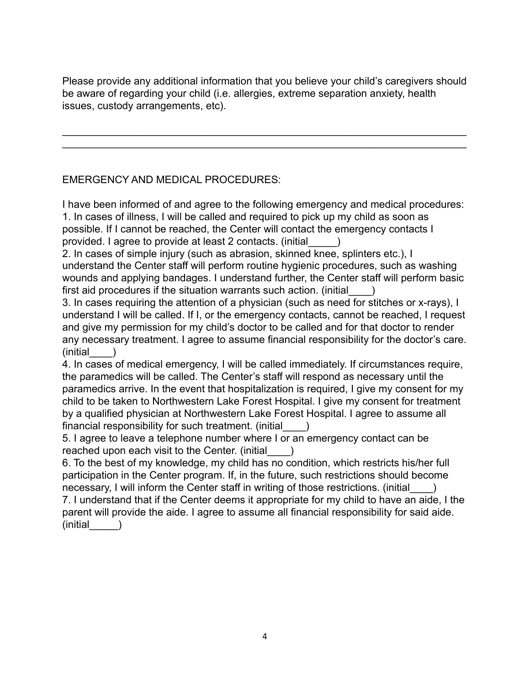Please provide any additional information that you believe your child's caregivers should be aware of regarding your child (i.e. allergies, extreme separation anxiety, health issues, custody arrangements, etc).

 $\mathcal{L}_\text{max} = \mathcal{L}_\text{max} = \mathcal{L}_\text{max} = \mathcal{L}_\text{max} = \mathcal{L}_\text{max} = \mathcal{L}_\text{max} = \mathcal{L}_\text{max} = \mathcal{L}_\text{max} = \mathcal{L}_\text{max} = \mathcal{L}_\text{max} = \mathcal{L}_\text{max} = \mathcal{L}_\text{max} = \mathcal{L}_\text{max} = \mathcal{L}_\text{max} = \mathcal{L}_\text{max} = \mathcal{L}_\text{max} = \mathcal{L}_\text{max} = \mathcal{L}_\text{max} = \mathcal{$  $\mathcal{L}_\text{max} = \mathcal{L}_\text{max} = \mathcal{L}_\text{max} = \mathcal{L}_\text{max} = \mathcal{L}_\text{max} = \mathcal{L}_\text{max} = \mathcal{L}_\text{max} = \mathcal{L}_\text{max} = \mathcal{L}_\text{max} = \mathcal{L}_\text{max} = \mathcal{L}_\text{max} = \mathcal{L}_\text{max} = \mathcal{L}_\text{max} = \mathcal{L}_\text{max} = \mathcal{L}_\text{max} = \mathcal{L}_\text{max} = \mathcal{L}_\text{max} = \mathcal{L}_\text{max} = \mathcal{$ 

# EMERGENCY AND MEDICAL PROCEDURES:

I have been informed of and agree to the following emergency and medical procedures: 1. In cases of illness, I will be called and required to pick up my child as soon as possible. If I cannot be reached, the Center will contact the emergency contacts I provided. I agree to provide at least 2 contacts. (initial\_\_\_\_\_)

2. In cases of simple injury (such as abrasion, skinned knee, splinters etc.), I understand the Center staff will perform routine hygienic procedures, such as washing wounds and applying bandages. I understand further, the Center staff will perform basic first aid procedures if the situation warrants such action. (initial  $\qquad)$ 

3. In cases requiring the attention of a physician (such as need for stitches or x-rays), I understand I will be called. If I, or the emergency contacts, cannot be reached, I request and give my permission for my child's doctor to be called and for that doctor to render any necessary treatment. I agree to assume financial responsibility for the doctor's care.  $(inicial$   $)$ 

4. In cases of medical emergency, I will be called immediately. If circumstances require, the paramedics will be called. The Center's staff will respond as necessary until the paramedics arrive. In the event that hospitalization is required, I give my consent for my child to be taken to Northwestern Lake Forest Hospital. I give my consent for treatment by a qualified physician at Northwestern Lake Forest Hospital. I agree to assume all financial responsibility for such treatment. (initial\_\_\_\_)

5. I agree to leave a telephone number where I or an emergency contact can be reached upon each visit to the Center. (initial \_\_\_\_)

6. To the best of my knowledge, my child has no condition, which restricts his/her full participation in the Center program. If, in the future, such restrictions should become necessary, I will inform the Center staff in writing of those restrictions. (initial  $\qquad$  ) 7. I understand that if the Center deems it appropriate for my child to have an aide, I the parent will provide the aide. I agree to assume all financial responsibility for said aide.

 $(inicial$   $)$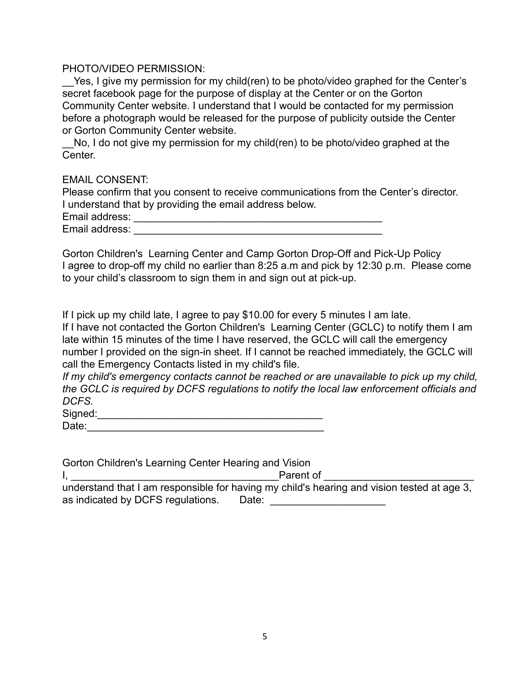#### PHOTO/VIDEO PERMISSION:

Yes, I give my permission for my child(ren) to be photo/video graphed for the Center's secret facebook page for the purpose of display at the Center or on the Gorton Community Center website. I understand that I would be contacted for my permission before a photograph would be released for the purpose of publicity outside the Center or Gorton Community Center website.

No, I do not give my permission for my child(ren) to be photo/video graphed at the Center.

#### EMAIL CONSENT:

| Please confirm that you consent to receive communications from the Center's director. |  |
|---------------------------------------------------------------------------------------|--|
| I understand that by providing the email address below.                               |  |
| Email address:                                                                        |  |
| Email address:                                                                        |  |

Gorton Children's Learning Center and Camp Gorton Drop-Off and Pick-Up Policy I agree to drop-off my child no earlier than 8:25 a.m and pick by 12:30 p.m. Please come to your child's classroom to sign them in and sign out at pick-up.

If I pick up my child late, I agree to pay \$10.00 for every 5 minutes I am late.

If I have not contacted the Gorton Children's Learning Center (GCLC) to notify them I am late within 15 minutes of the time I have reserved, the GCLC will call the emergency number I provided on the sign-in sheet. If I cannot be reached immediately, the GCLC will call the Emergency Contacts listed in my child's file.

*If my child's emergency contacts cannot be reached or are unavailable to pick up my child, the GCLC is required by DCFS regulations to notify the local law enforcement officials and DCFS.*

Signed:

| __    |  |  |  |
|-------|--|--|--|
| Date: |  |  |  |
|       |  |  |  |

| Gorton Children's Learning Center Hearing and Vision |                                                                                            |
|------------------------------------------------------|--------------------------------------------------------------------------------------------|
|                                                      | Parent of                                                                                  |
|                                                      | understand that I am responsible for having my child's hearing and vision tested at age 3, |
| as indicated by DCFS regulations.                    | Date:                                                                                      |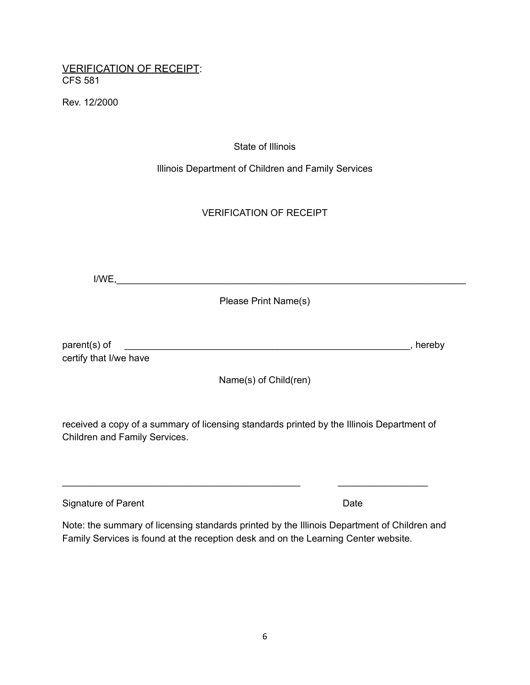## VERIFICATION OF RECEIPT: CFS 581

Rev. 12/2000

#### State of Illinois

Illinois Department of Children and Family Services

# VERIFICATION OF RECEIPT

 $I/WE, \_\_\_\_\_\_\_\_$ 

Please Print Name(s)

| parent(s) of           | , hereby |
|------------------------|----------|
| certify that I/we have |          |

Name(s) of Child(ren)

received a copy of a summary of licensing standards printed by the Illinois Department of Children and Family Services.

\_\_\_\_\_\_\_\_\_\_\_\_\_\_\_\_\_\_\_\_\_\_\_\_\_\_\_\_\_\_\_\_\_\_\_\_\_\_\_\_\_\_\_\_\_ \_\_\_\_\_\_\_\_\_\_\_\_\_\_\_\_\_

| Signature of Parent | Date |
|---------------------|------|
|---------------------|------|

Note: the summary of licensing standards printed by the Illinois Department of Children and Family Services is found at the reception desk and on the Learning Center website.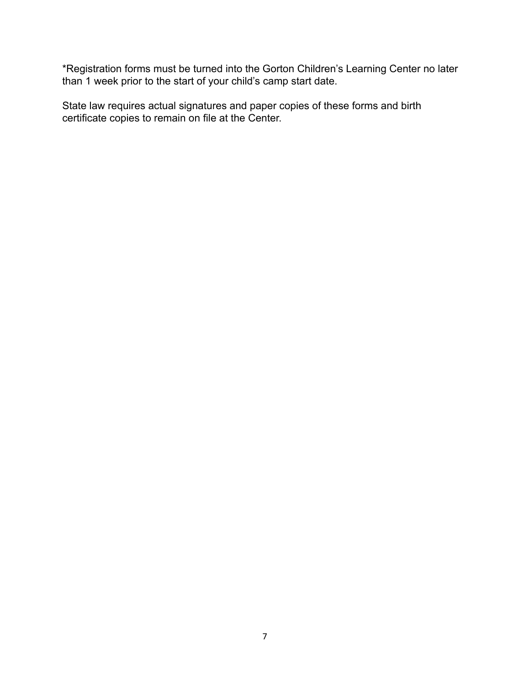\*Registration forms must be turned into the Gorton Children's Learning Center no later than 1 week prior to the start of your child's camp start date.

State law requires actual signatures and paper copies of these forms and birth certificate copies to remain on file at the Center.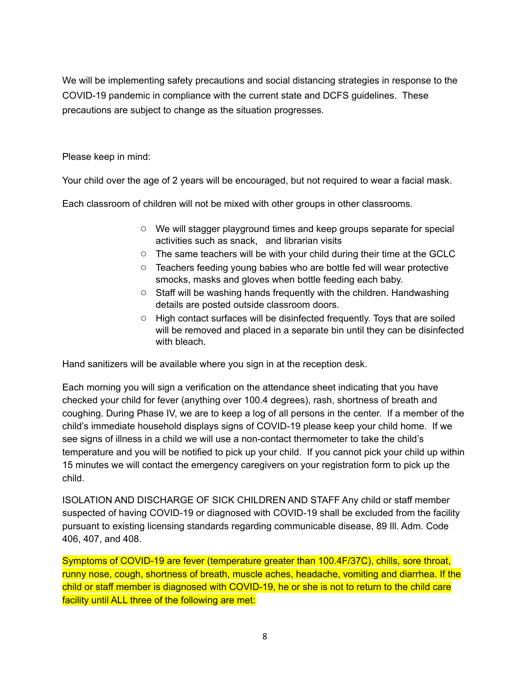We will be implementing safety precautions and social distancing strategies in response to the COVID-19 pandemic in compliance with the current state and DCFS guidelines. These precautions are subject to change as the situation progresses.

Please keep in mind:

Your child over the age of 2 years will be encouraged, but not required to wear a facial mask.

Each classroom of children will not be mixed with other groups in other classrooms.

- We will stagger playground times and keep groups separate for special activities such as snack, and librarian visits
- The same teachers will be with your child during their time at the GCLC
- Teachers feeding young babies who are bottle fed will wear protective smocks, masks and gloves when bottle feeding each baby.
- Staff will be washing hands frequently with the children. Handwashing details are posted outside classroom doors.
- High contact surfaces will be disinfected frequently. Toys that are soiled will be removed and placed in a separate bin until they can be disinfected with bleach.

Hand sanitizers will be available where you sign in at the reception desk.

Each morning you will sign a verification on the attendance sheet indicating that you have checked your child for fever (anything over 100.4 degrees), rash, shortness of breath and coughing. During Phase IV, we are to keep a log of all persons in the center. If a member of the child's immediate household displays signs of COVID-19 please keep your child home. If we see signs of illness in a child we will use a non-contact thermometer to take the child's temperature and you will be notified to pick up your child. If you cannot pick your child up within 15 minutes we will contact the emergency caregivers on your registration form to pick up the child.

ISOLATION AND DISCHARGE OF SICK CHILDREN AND STAFF Any child or staff member suspected of having COVID-19 or diagnosed with COVID-19 shall be excluded from the facility pursuant to existing licensing standards regarding communicable disease, 89 Ill. Adm. Code 406, 407, and 408.

Symptoms of COVID-19 are fever (temperature greater than 100.4F/37C), chills, sore throat, runny nose, cough, shortness of breath, muscle aches, headache, vomiting and diarrhea. If the child or staff member is diagnosed with COVID-19, he or she is not to return to the child care facility until ALL three of the following are met: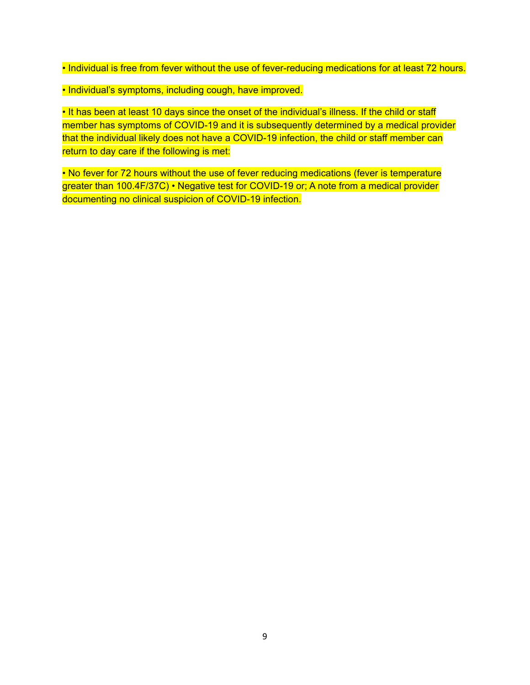• Individual is free from fever without the use of fever-reducing medications for at least 72 hours.

• Individual's symptoms, including cough, have improved.

• It has been at least 10 days since the onset of the individual's illness. If the child or staff member has symptoms of COVID-19 and it is subsequently determined by a medical provider that the individual likely does not have a COVID-19 infection, the child or staff member can return to day care if the following is met:

• No fever for 72 hours without the use of fever reducing medications (fever is temperature greater than 100.4F/37C) • Negative test for COVID-19 or; A note from a medical provider documenting no clinical suspicion of COVID-19 infection.